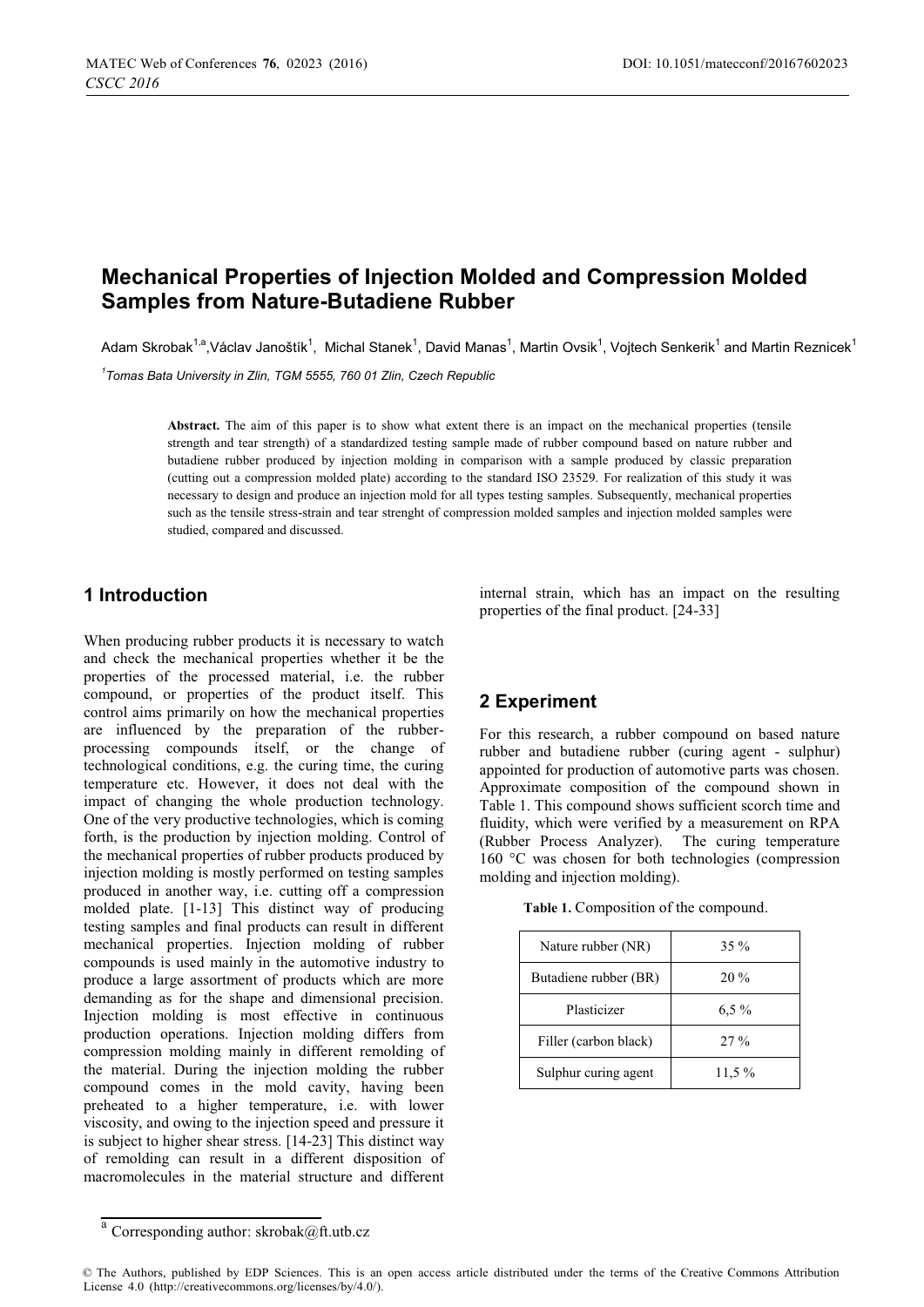# **Mechanical Properties of Injection Molded and Compression Molded Samples from Nature-Butadiene Rubber**

Adam Skrobak<sup>1,a</sup>,Václav Janoštík<sup>1</sup>. Michal Stanek<sup>1</sup>. David Manas<sup>1</sup>. Martin Ovsik<sup>1</sup>. Voitech Senkerik<sup>1</sup> and Martin Reznicek<sup>1</sup>

*1 Tomas Bata University in Zlin, TGM 5555, 760 01 Zlin, Czech Republic* 

Abstract. The aim of this paper is to show what extent there is an impact on the mechanical properties (tensile strength and tear strength) of a standardized testing sample made of rubber compound based on nature rubber and butadiene rubber produced by injection molding in comparison with a sample produced by classic preparation (cutting out a compression molded plate) according to the standard ISO 23529. For realization of this study it was necessary to design and produce an injection mold for all types testing samples. Subsequently, mechanical properties such as the tensile stress-strain and tear strenght of compression molded samples and injection molded samples were studied, compared and discussed.

## **1 Introduction**

When producing rubber products it is necessary to watch and check the mechanical properties whether it be the properties of the processed material, i.e. the rubber compound, or properties of the product itself. This control aims primarily on how the mechanical properties are influenced by the preparation of the rubberprocessing compounds itself, or the change of technological conditions, e.g. the curing time, the curing temperature etc. However, it does not deal with the impact of changing the whole production technology. One of the very productive technologies, which is coming forth, is the production by injection molding. Control of the mechanical properties of rubber products produced by injection molding is mostly performed on testing samples produced in another way, i.e. cutting off a compression molded plate. [1-13] This distinct way of producing testing samples and final products can result in different mechanical properties. Injection molding of rubber compounds is used mainly in the automotive industry to produce a large assortment of products which are more demanding as for the shape and dimensional precision. Injection molding is most effective in continuous production operations. Injection molding differs from compression molding mainly in different remolding of the material. During the injection molding the rubber compound comes in the mold cavity, having been preheated to a higher temperature, i.e. with lower viscosity, and owing to the injection speed and pressure it is subject to higher shear stress. [14-23] This distinct way of remolding can result in a different disposition of macromolecules in the material structure and different

internal strain, which has an impact on the resulting properties of the final product. [24-33]

## **2 Experiment**

For this research, a rubber compound on based nature rubber and butadiene rubber (curing agent - sulphur) appointed for production of automotive parts was chosen. Approximate composition of the compound shown in Table 1. This compound shows sufficient scorch time and fluidity, which were verified by a measurement on RPA (Rubber Process Analyzer). The curing temperature 160 °C was chosen for both technologies (compression molding and injection molding).

**Table 1.** Composition of the compound.

| Nature rubber (NR)    | $35\%$   |
|-----------------------|----------|
| Butadiene rubber (BR) | $20\%$   |
| Plasticizer           | $6.5\%$  |
| Filler (carbon black) | $27\%$   |
| Sulphur curing agent  | $11.5\%$ |

<sup>&</sup>lt;sup>a</sup> Corresponding author: skrobak@ft.utb.cz

<sup>©</sup> The Authors, published by EDP Sciences. This is an open access article distributed under the terms of the Creative Commons Attribution License 4.0 (http://creativecommons.org/licenses/by/4.0/).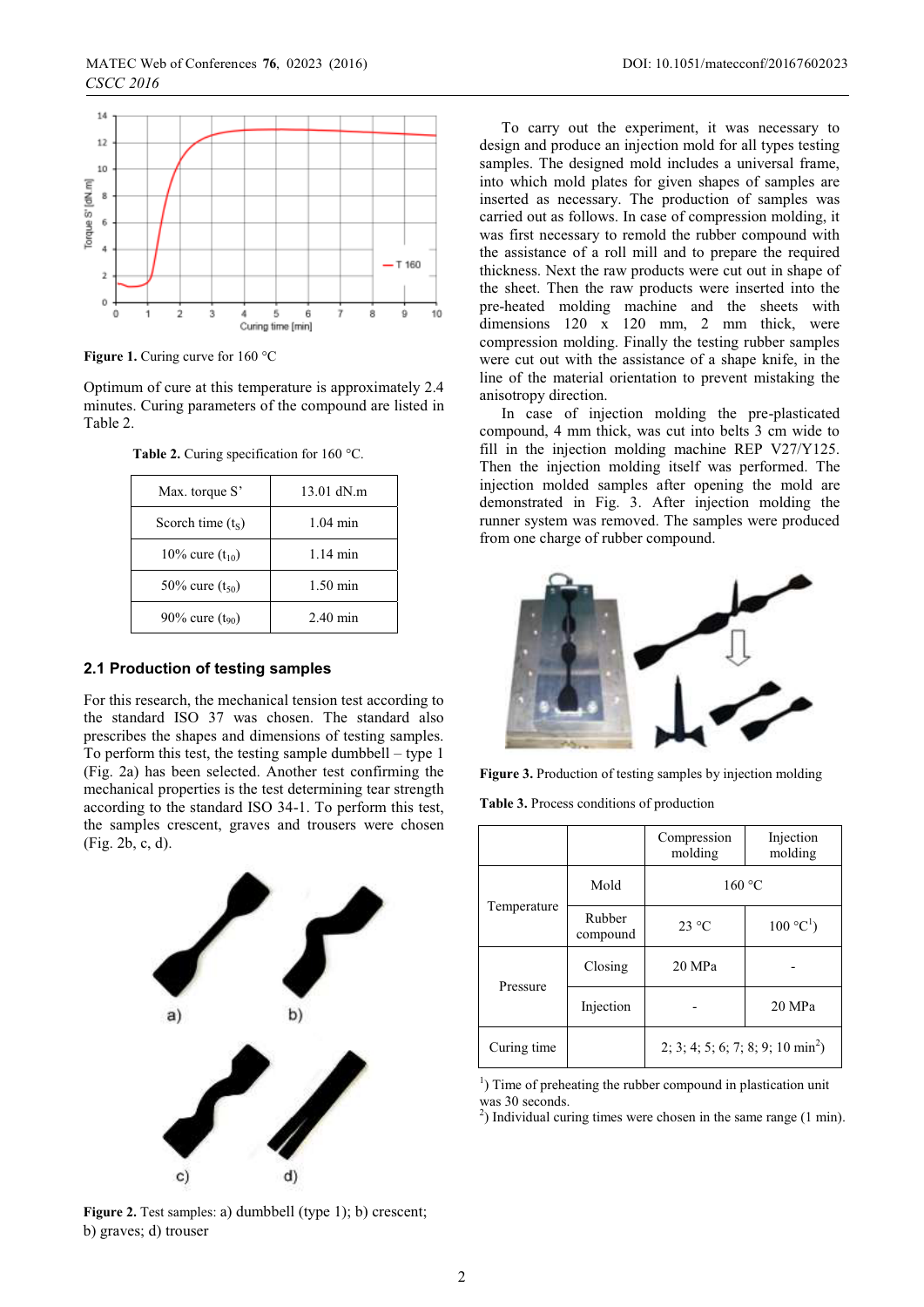

**Figure 1.** Curing curve for 160 °C

Optimum of cure at this temperature is approximately 2.4 minutes. Curing parameters of the compound are listed in Table 2.

| Max. torque S'      | 13.01 dN.m         |
|---------------------|--------------------|
| Scorch time $(t_s)$ | $1.04 \text{ min}$ |
| 10% cure $(t_{10})$ | $1.14 \text{ min}$ |
| 50% cure $(t_{50})$ | $1.50 \text{ min}$ |
| 90% cure $(t_{90})$ | $2.40 \text{ min}$ |

Table 2. Curing specification for 160 °C.

#### **2.1 Production of testing samples**

For this research, the mechanical tension test according to the standard ISO 37 was chosen. The standard also prescribes the shapes and dimensions of testing samples. To perform this test, the testing sample dumbbell – type 1 (Fig. 2a) has been selected. Another test confirming the mechanical properties is the test determining tear strength according to the standard ISO 34-1. To perform this test, the samples crescent, graves and trousers were chosen (Fig. 2b, c, d).



**Figure 2.** Test samples: a) dumbbell (type 1); b) crescent; b) graves; d) trouser

To carry out the experiment, it was necessary to design and produce an injection mold for all types testing samples. The designed mold includes a universal frame, into which mold plates for given shapes of samples are inserted as necessary. The production of samples was carried out as follows. In case of compression molding, it was first necessary to remold the rubber compound with the assistance of a roll mill and to prepare the required thickness. Next the raw products were cut out in shape of the sheet. Then the raw products were inserted into the pre-heated molding machine and the sheets with dimensions 120 x 120 mm, 2 mm thick, were compression molding. Finally the testing rubber samples were cut out with the assistance of a shape knife, in the line of the material orientation to prevent mistaking the anisotropy direction.

In case of injection molding the pre-plasticated compound, 4 mm thick, was cut into belts 3 cm wide to fill in the injection molding machine REP V27/Y125. Then the injection molding itself was performed. The injection molded samples after opening the mold are demonstrated in Fig. 3. After injection molding the runner system was removed. The samples were produced from one charge of rubber compound.



**Figure 3.** Production of testing samples by injection molding

**Table 3.** Process conditions of production

|             |                    | Compression<br>molding                        | Injection<br>molding |
|-------------|--------------------|-----------------------------------------------|----------------------|
|             | Mold               | 160 °C                                        |                      |
| Temperature | Rubber<br>compound | $23^{\circ}$ C                                | $100\text{ °C}^1$    |
| Pressure    | Closing            | 20 MPa                                        |                      |
|             | Injection          |                                               | 20 MPa               |
| Curing time |                    | 2; 3; 4; 5; 6; 7; 8; 9; 10 min <sup>2</sup> ) |                      |

<sup>1</sup>) Time of preheating the rubber compound in plastication unit was 30 seconds.

<sup>2</sup>) Individual curing times were chosen in the same range (1 min).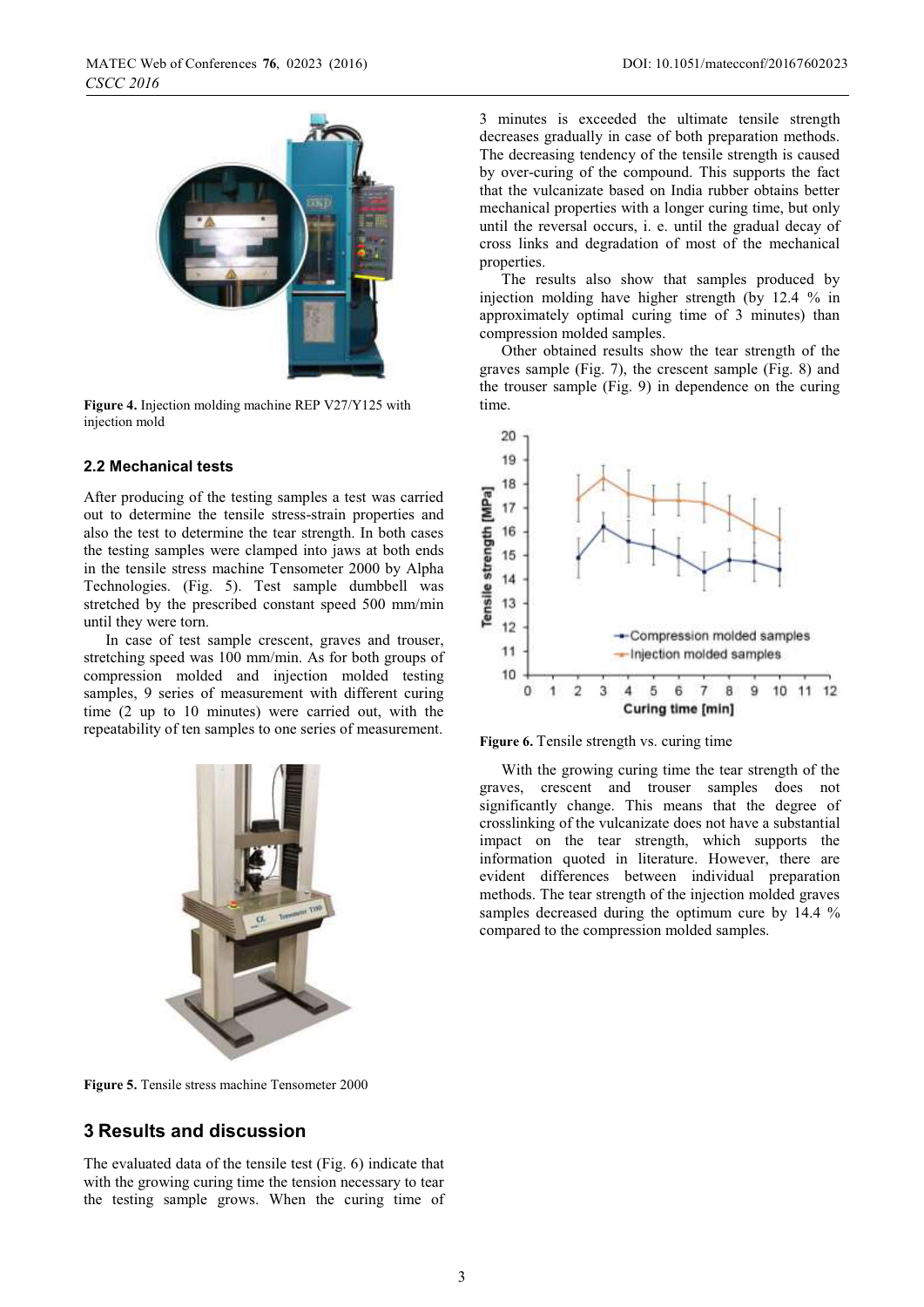

**Figure 4.** Injection molding machine REP V27/Y125 with injection mold

#### **2.2 Mechanical tests**

After producing of the testing samples a test was carried out to determine the tensile stress-strain properties and also the test to determine the tear strength. In both cases the testing samples were clamped into jaws at both ends in the tensile stress machine Tensometer 2000 by Alpha Technologies. (Fig. 5). Test sample dumbbell was stretched by the prescribed constant speed 500 mm/min until they were torn.

In case of test sample crescent, graves and trouser, stretching speed was 100 mm/min. As for both groups of compression molded and injection molded testing samples, 9 series of measurement with different curing time (2 up to 10 minutes) were carried out, with the repeatability of ten samples to one series of measurement.



3 minutes is exceeded the ultimate tensile strength decreases gradually in case of both preparation methods. The decreasing tendency of the tensile strength is caused by over-curing of the compound. This supports the fact that the vulcanizate based on India rubber obtains better mechanical properties with a longer curing time, but only until the reversal occurs, i. e. until the gradual decay of cross links and degradation of most of the mechanical properties.

The results also show that samples produced by injection molding have higher strength (by 12.4 % in approximately optimal curing time of 3 minutes) than compression molded samples.

Other obtained results show the tear strength of the graves sample (Fig. 7), the crescent sample (Fig. 8) and the trouser sample (Fig. 9) in dependence on the curing time.





With the growing curing time the tear strength of the graves, crescent and trouser samples does not significantly change. This means that the degree of crosslinking of the vulcanizate does not have a substantial impact on the tear strength, which supports the information quoted in literature. However, there are evident differences between individual preparation methods. The tear strength of the injection molded graves samples decreased during the optimum cure by 14.4 % compared to the compression molded samples.

**Figure 5.** Tensile stress machine Tensometer 2000

## **3 Results and discussion**

The evaluated data of the tensile test (Fig. 6) indicate that with the growing curing time the tension necessary to tear the testing sample grows. When the curing time of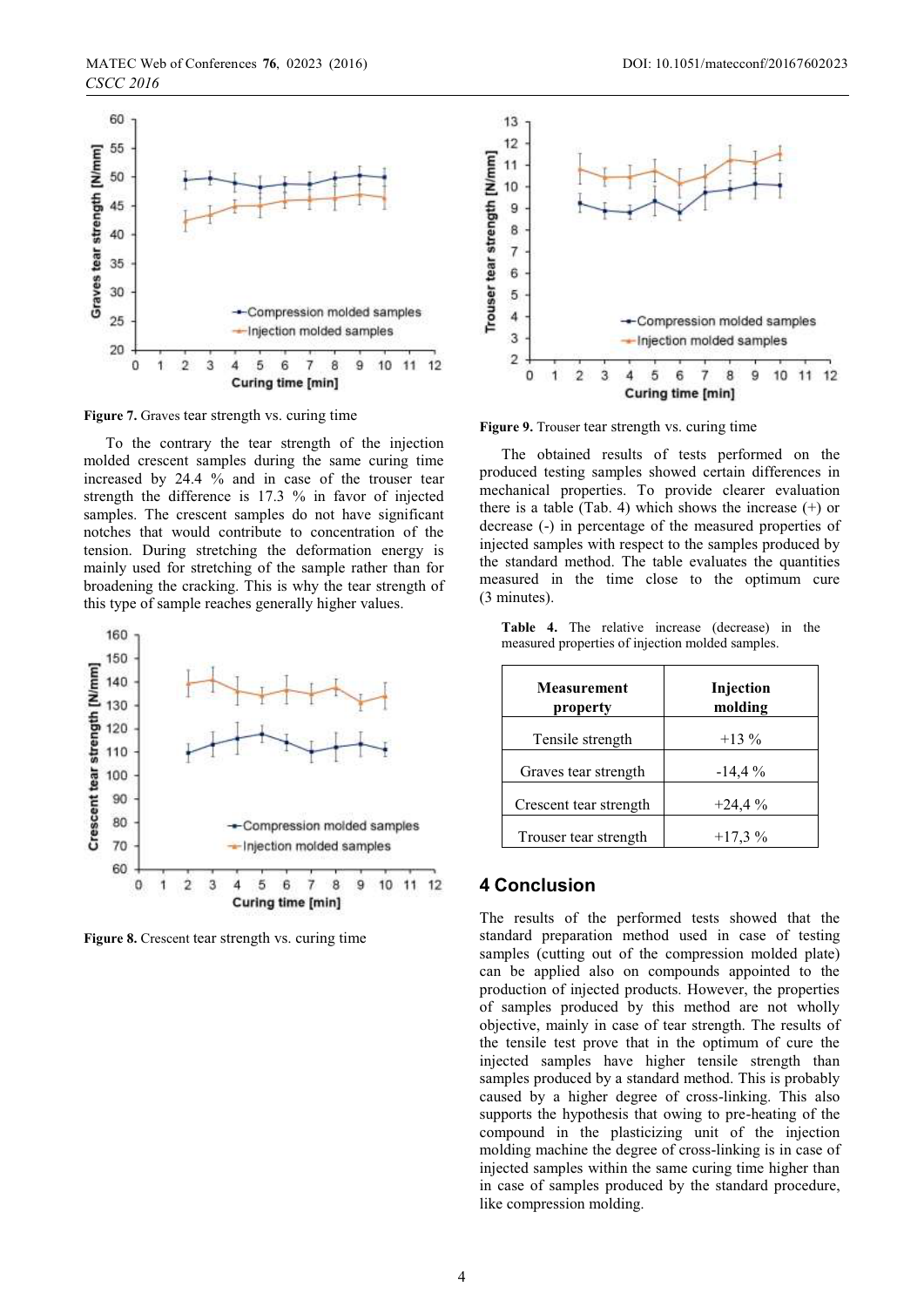

**Figure 7.** Graves tear strength vs. curing time

To the contrary the tear strength of the injection molded crescent samples during the same curing time increased by 24.4 % and in case of the trouser tear strength the difference is 17.3 % in favor of injected samples. The crescent samples do not have significant notches that would contribute to concentration of the tension. During stretching the deformation energy is mainly used for stretching of the sample rather than for broadening the cracking. This is why the tear strength of this type of sample reaches generally higher values.



**Figure 8.** Crescent tear strength vs. curing time



**Figure 9.** Trouser tear strength vs. curing time

The obtained results of tests performed on the produced testing samples showed certain differences in mechanical properties. To provide clearer evaluation there is a table (Tab. 4) which shows the increase (+) or decrease (-) in percentage of the measured properties of injected samples with respect to the samples produced by the standard method. The table evaluates the quantities measured in the time close to the optimum cure (3 minutes).

|                                                  |  |  |  |  | <b>Table 4.</b> The relative increase (decrease) in the |  |  |
|--------------------------------------------------|--|--|--|--|---------------------------------------------------------|--|--|
| measured properties of injection molded samples. |  |  |  |  |                                                         |  |  |

| <b>Measurement</b><br>property | Injection<br>molding |  |  |
|--------------------------------|----------------------|--|--|
| Tensile strength               | $+13\%$              |  |  |
| Graves tear strength           | $-14,4%$             |  |  |
| Crescent tear strength         | $+24,4%$             |  |  |
| Trouser tear strength          | $+17,3%$             |  |  |

## **4 Conclusion**

The results of the performed tests showed that the standard preparation method used in case of testing samples (cutting out of the compression molded plate) can be applied also on compounds appointed to the production of injected products. However, the properties of samples produced by this method are not wholly objective, mainly in case of tear strength. The results of the tensile test prove that in the optimum of cure the injected samples have higher tensile strength than samples produced by a standard method. This is probably caused by a higher degree of cross-linking. This also supports the hypothesis that owing to pre-heating of the compound in the plasticizing unit of the injection molding machine the degree of cross-linking is in case of injected samples within the same curing time higher than in case of samples produced by the standard procedure, like compression molding.